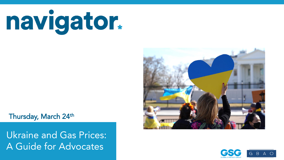# navigator.

#### Thursday, March 24th

 $N_{\rm max}$  for  $\Lambda$  divocates interviews taken over the prior three-five days. Latest wave conducted March 17-March 21, 2022. For more info, visit navigatorresearch.org Ukraine and Gas Prices: A Guide for Advocates



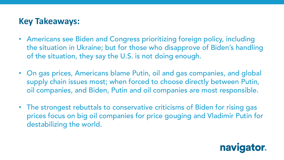#### **Key Takeaways:**

- Americans see Biden and Congress prioritizing foreign policy, including the situation in Ukraine; but for those who disapprove of Biden's handling of the situation, they say the U.S. is not doing enough.
- On gas prices, Americans blame Putin, oil and gas companies, and global supply chain issues most; when forced to choose directly between Putin, oil companies, and Biden, Putin and oil companies are most responsible.
- The strongest rebuttals to conservative criticisms of Biden for rising gas prices focus on big oil companies for price gouging and Vladimir Putin for destabilizing the world.

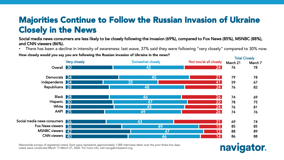#### Majorities Continue to Follow the Russian Invasion of Ukraine Closely in the News

Social media news consumers are less likely to be closely following the invasion (69%), compared to Fox News (85%), MSNBC (88%), and CNN viewers (86%).

• There has been a decline in intensity of awareness: last wave, 37% said they were following "very closely" compared to 30% now.

How closely would you say you are following the Russian invasion of Ukraine in the news?



Nationwide surveys of registered voters; Each wave represents approximately 1,000 interviews taken over the prior three-five days. Latest wave conducted March 17-March 21, 2022. For more info, visit navigatorresearch.org

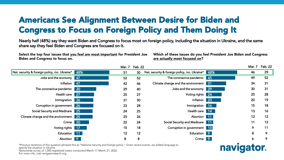## Americans See Alignment Between Desire for Biden and Congress to Focus on Foreign Policy and Them Doing It

Nearly half (48%) say they want Biden and Congress to focus most on foreign policy, including the situation in Ukraine, and the same share say they feel Biden and Congress are focused on it.

Select the top four issues that you feel are most important for President Joe Biden and Congress to focus on.

Which of these issues do you feel President Joe Biden and Congress are actually most focused on?

navigator.

|                                                   | Mar. 7 | <b>Feb. 22</b>  |                                                   | Mar. 7 | Feb. 22 |
|---------------------------------------------------|--------|-----------------|---------------------------------------------------|--------|---------|
| Nat. security & foreign policy, inc. Ukraine* 48% | 51     | 30 <sub>2</sub> | Nat. security & foreign policy, inc. Ukraine* 48% | 46     | 29      |
| Jobs and the economy 47                           | 52     | 52              | The coronavirus pandemic 45                       | 49     | 52      |
| Inflation 47                                      | 42     | 46              | Climate change and the environment 31             | 34     | 31      |
| The coronavirus pandemic 30                       | 29     | 40              | Jobs and the economy 29                           | 30     | 31      |
| Health care 27                                    | 25     | 27              | Voting rights 24                                  | 25     | 28      |
| Immigration 26                                    | 31     | 30              | Inflation 23                                      | 20     | 19      |
| Corruption in government 26                       | 23     | 28              | Immigration 16                                    | 15     | 18      |
| Social Security and Medicare 25                   | 24     | 25              | Health care 14                                    | 13     | 16      |
| Climate change and the environment 25             | 25     | 26              | Abortion 11                                       | 12     | 12      |
| Crime 20                                          | 22     | 24              | Social Security and Medicare 11                   | 11     | 12      |
| Voting rights 17                                  | 15     | 18              | Corruption in government 10                       | 9      | 11      |
| Education 11                                      | 12     | 12              | Education 9                                       | 8      | 9       |
| Abortion 9                                        | 8      | 8               | Crime 9                                           | 6      | 9       |

\*Previous iterations of this question phrased this as "National security and foreign policy." Given recent events, we added language to

specify the situation in Ukraine.  $\overline{\phantom{a}}$ 

Nationwide survey of 1,000 registered voters conducted March 17-March 21, 2022.

For more info, visit navigatorresarch.org.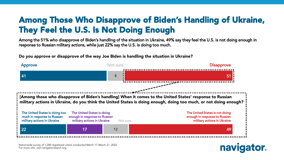## Among Those Who Disapprove of Biden's Handling of Ukraine, They Feel the U.S. Is Not Doing Enough

Among the 51% who disapprove of Biden's handling of the situation in Ukraine, 49% say they feel the U.S. is not doing enough in response to Russian military actions, while just 22% say the U.S. is doing too much.

Do you approve or disapprove of the way Joe Biden is handling the situation in Ukraine?



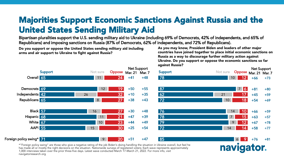### Majorities Support Economic Sanctions Against Russia and the United States Sending Military Aid

Bipartisan pluralities support the U.S. sending military aid to Ukraine (including 69% of Democrats, 42% of independents, and 65% of Republicans) and imposing sanctions on Russia (87% of Democrats, 62% of independents, and 72% of Republicans).

Do you support or oppose the United States sending military aid including arms and air support to Ukraine to fight against Russia?

As you may know, President Biden and leaders of other major countries have joined together to place initial economic sanctions on Russia as a way to discourage further military action against Ukraine. Do you support or oppose the economic sanctions so far against Russia?

navigator.



\*"Foreign policy swing" are those who give a negative rating of the job Biden's doing handling the situation in Ukraine overall, but feel he has made all or mostly the right decisions on the situation. Nationwide surveys of registered voters; Each wave represents approximately 1,000 interviews taken over the prior three-five days. Latest wave conducted March 17-March 21, 2022. For more info, visit navigatorresearch.org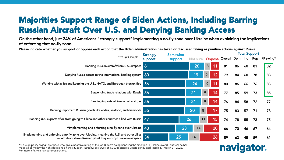## Majorities Support Range of Biden Actions, Including Barring Russian Aircraft Over U.S. and Denying Banking Access

On the other hand, just 34% of Americans "strongly support" implementing a no-fly zone over Ukraine when explaining the implications of enforcing that no-fly zone.

Please indicate whether you support or oppose each action that the Biden administration has taken or discussed taking as punitive actions against Russia.



navigator.

\*"Foreign policy swing" are those who give a negative rating of the job Biden's doing handling the situation in Ukraine overall, but feel he has made all or mostly the right decisions on the situation. Nationwide survey of 1,000 registered voters conducted March 17-March 21, 2022. For more info, visit navigatorresarch.org.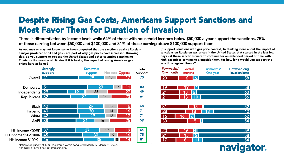#### Despite Rising Gas Costs, Americans Support Sanctions and Most Favor Them for Duration of Invasion

There is differentiation by income level: while 64% of those with household incomes below \$50,000 a year support the sanctions, 75% of those earning between \$50,000 and \$100,000 and 81% of those earning above \$100,000 support them.

As you may or may not know, some have suggested that the sanctions against Russia – a major producer of oil and gas – are part of why gas prices have increased. Knowing this, do you support or oppose the United States and other countries sanctioning Russia for its invasion of Ukraine if it is having the impact of raising American gas prices here at home?

|                        | <b>Strongly</b><br>support |    |    | Somewhat<br>support |    | Not sure <b>Oppose</b> | <b>Total</b><br>Support |
|------------------------|----------------------------|----|----|---------------------|----|------------------------|-------------------------|
| Overall 41             |                            |    |    | 29                  | 13 |                        | 70                      |
| Democrats 51           |                            |    |    | 29                  |    | 9                      | 80                      |
| Independents 29        |                            | 19 |    | 25                  |    | 27                     | 49                      |
| Republicans 32         |                            |    | 31 |                     | 14 | 23                     | 64                      |
| Black 40               |                            |    |    | 29                  | 15 | 16                     | 68                      |
| Hispanic 40            |                            |    |    | 30                  | 14 | 16                     | 71                      |
| White 42               |                            |    |    | 29                  | 12 |                        | 71                      |
| <b>AAPI 38</b>         |                            |    |    |                     | 16 | 25                     | 59                      |
| HH Income $<$ \$50K 37 |                            |    | 27 |                     | 17 | 19                     | 64                      |
| $Income $50-$100K 45$  |                            |    |    | 30                  | 9  | 16                     | 75                      |
| HH Income \$100K+ 46   |                            |    |    | 35                  |    | 14<br>5                | 81                      |

Nationwide survey of 1,000 registered voters conducted March 17-March 21, 2022. For more info, visit navigatorresarch.org. The more info, visit navigators was a stated with  $\sim$ 

HH In

[If support sanctions with gas price context] In thinking more about the impact of sanctions on Russia on gas prices in the United States that started in the last few days – if these sanctions were to continue for an extended period of time with high gas prices continuing alongside them, for how long would you support the sanctions against Russia?

| Few weeks/<br>One month | <b>Several</b><br>months | Six months/<br>One year | <b>However long</b><br>invasion lasts |
|-------------------------|--------------------------|-------------------------|---------------------------------------|
| $\overline{20}$         | 16                       |                         | $\overline{58}$                       |
| <b>19</b>               | 9<br>4                   |                         | 58                                    |
|                         |                          |                         |                                       |
| 21                      | З                        |                         | 60                                    |
| 21                      | 3                        |                         | 56                                    |
|                         |                          |                         |                                       |
| 31                      | 5                        |                         | 52                                    |
| $\overline{28}$         | $\overline{8}$           | 3                       | 42                                    |
| $\overline{16}$         | 6<br>6                   |                         | 62                                    |
| 30                      | 15                       |                         | 54                                    |
|                         |                          |                         |                                       |
| 20                      | 6<br>Z                   |                         | 59                                    |
| 21                      | 5                        |                         | 58                                    |
|                         | 8                        |                         | 54                                    |
|                         |                          |                         |                                       |
|                         |                          |                         | t<br><b>Ida</b><br><b>hav</b>         |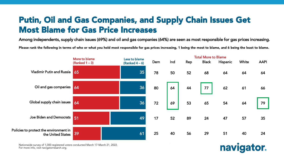#### Putin, Oil and Gas Companies, and Supply Chain Issues Get Most Blame for Gas Price Increases

Among independents, supply chain issues (69%) and oil and gas companies (64%) are seen as most responsible for gas prices increasing. Please rank the following in terms of who or what you hold most responsible for gas prices increasing, 1 being the most to blame, and 6 being the least to blame.

|                                                                | More to blame     | Less to blame   | <b>Total More to Blame</b> |     |     |              |          |       |             |
|----------------------------------------------------------------|-------------------|-----------------|----------------------------|-----|-----|--------------|----------|-------|-------------|
|                                                                | (Ranked $1 - 3$ ) | (Ranked $4-6$ ) | Dem                        | Ind | Rep | <b>Black</b> | Hispanic | White | <b>AAPI</b> |
| Vladimir Putin and Russia                                      | 65                | 35              | 78                         | 50  | 52  | 68           | 64       | 64    | 64          |
| Oil and gas companies                                          | 64                | 36              | 80                         | 64  | 44  | 77           | 62       | 61    | 66          |
| Global supply chain issues                                     | 64                | 36              | 72                         | 69  | 53  | 65           | 54       | 64    | 79          |
| Joe Biden and Democrats 51                                     |                   | 49              | 17                         | 52  | 89  | 24           | 47       | 57    | 35          |
| Policies to protect the environment in<br>the United States 39 |                   | 61              | 25                         | 40  | 56  | 29           | 51       | 40    | 24          |

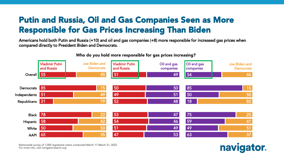### Putin and Russia, Oil and Gas Companies Seen as More Responsible for Gas Prices Increasing Than Biden

Americans hold both Putin and Russia (+10) and oil and gas companies (+8) more responsible for increased gas prices when compared directly to President Biden and Democrats.

#### Who do you hold more responsible for gas prices increasing?



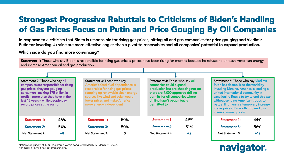### Strongest Progressive Rebuttals to Criticisms of Biden's Handling of Gas Prices Focus on Putin and Price Gouging By Oil Companies

In response to a criticism that Biden is responsible for rising gas prices, hitting oil and gas companies for price gouging and Vladimir Putin for invading Ukraine are more effective angles than a pivot to renewables and oil companies' potential to expand production.

Which side do you find more convincing?

Statement 1: Those who say Biden is responsible for rising gas prices: prices have been rising for months because he refuses to unleash American energy and increase American oil and gas production

| Statement 2: Those who say oil<br>companies are responsible for rising<br>gas prices: they are gouging<br>consumers, making \$75 billion in<br>profit – more than they have in the<br>last 13 years - while people pay<br>record prices at the pump |      | <b>Statement 3: Those who say</b><br>America's fossil fuel dependence is<br>responsible for rising gas prices:<br>ramping up renewable clean energy<br>sources like wind and solar would<br>lower prices and make America<br>more energy independent |             | <b>Statement 4: Those who say oil</b><br>companies could expand<br>production but are choosing not to:<br>there are 9,000 approved drilling<br>permits for oil companies where<br>drilling hasn't begun but is<br>permitted to |      | <b>Statement 5: Those who say Vladimir</b><br>Putin has destabilized the world by<br>invading Ukraine. America is leading a<br>united international community in<br>sanctioning Russia to try to end this war<br>without sending American troops to<br>battle. If it means a temporary increase<br>in gas prices, it's worth it to end this<br>invasion more quickly |       |  |
|-----------------------------------------------------------------------------------------------------------------------------------------------------------------------------------------------------------------------------------------------------|------|------------------------------------------------------------------------------------------------------------------------------------------------------------------------------------------------------------------------------------------------------|-------------|--------------------------------------------------------------------------------------------------------------------------------------------------------------------------------------------------------------------------------|------|----------------------------------------------------------------------------------------------------------------------------------------------------------------------------------------------------------------------------------------------------------------------------------------------------------------------------------------------------------------------|-------|--|
| <b>Statement 1:</b>                                                                                                                                                                                                                                 | 46%  | <b>Statement 1:</b>                                                                                                                                                                                                                                  | 50%         | <b>Statement 1:</b>                                                                                                                                                                                                            | 49%  | <b>Statement 1:</b>                                                                                                                                                                                                                                                                                                                                                  | 44%   |  |
| <b>Statement 2:</b>                                                                                                                                                                                                                                 | 54%  | <b>Statement 3:</b>                                                                                                                                                                                                                                  | 50%         | <b>Statement 4:</b>                                                                                                                                                                                                            | 51%  | <b>Statement 5:</b>                                                                                                                                                                                                                                                                                                                                                  | 56%   |  |
| <b>Net Statement 2:</b>                                                                                                                                                                                                                             | $+8$ | <b>Net Statement 3:</b>                                                                                                                                                                                                                              | $\mathbf 0$ | <b>Net Statement 4:</b>                                                                                                                                                                                                        | $+2$ | Net Statement 5:                                                                                                                                                                                                                                                                                                                                                     | $+12$ |  |

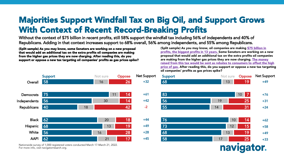### Majorities Support Windfall Tax on Big Oil, and Support Grows With Context of Recent Record-Breaking Profits

+32

+61

 $+42$ 

-2

 $+44$ 

 $+49$ 

+28

 $+45$ 

Without the context of \$75 billion in recent profits, still 58% support the windfall tax including 56% of independents and 40% of Republicans. Adding in that context increases support to 68% overall, 56% among independents, and 55% among Republicans.

(Split sample) As you may know, some Senators are working on a new proposal that would add an additional tax on the extra profits oil companies are making from the higher gas prices they are now charging. After reading this, do you support or oppose a new tax targeting oil companies' profits as gas prices spike?



Nationwide survey of 1,000 registered voters conducted March 17-March 21, 2022. For more info, visit navigatorresarch.org. The more info, visit navigators was a stated with  $\sim$ 

(Split sample) As you may know, oil companies are making \$75 billion in profits, the biggest profits in 13 years. Some Senators are working on a new proposal that would add an additional tax on the extra profits oil companies are making from the higher gas prices they are now charging. The money raised from this tax would be sent as rebates to consumers to offset the high price of gas. After reading this, do you support or oppose a new tax targeting oil companies' profits as gas prices spike?